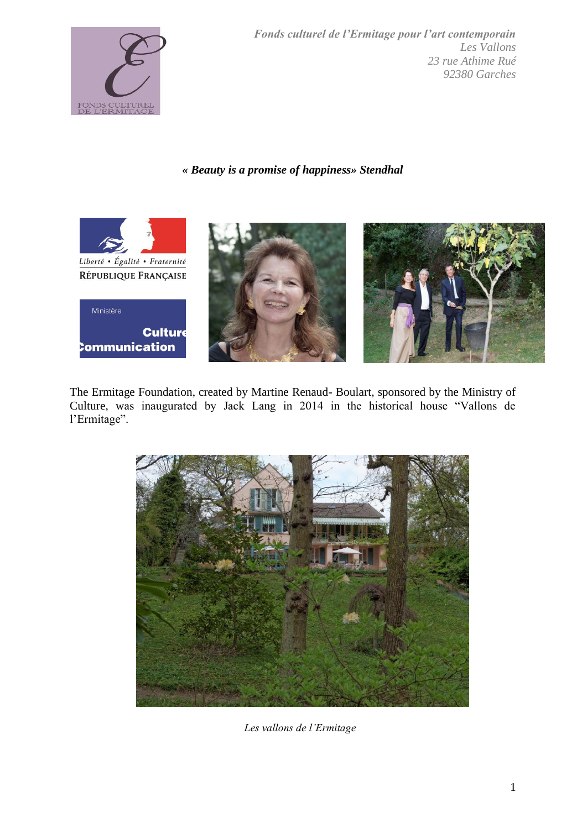

*Fonds culturel de l'Ermitage pour l'art contemporain Les Vallons 23 rue Athime Rué 92380 Garches*

*« Beauty is a promise of happiness» Stendhal*



The Ermitage Foundation, created by Martine Renaud- Boulart, sponsored by the Ministry of Culture, was inaugurated by Jack Lang in 2014 in the historical house "Vallons de l'Ermitage".



*Les vallons de l'Ermitage*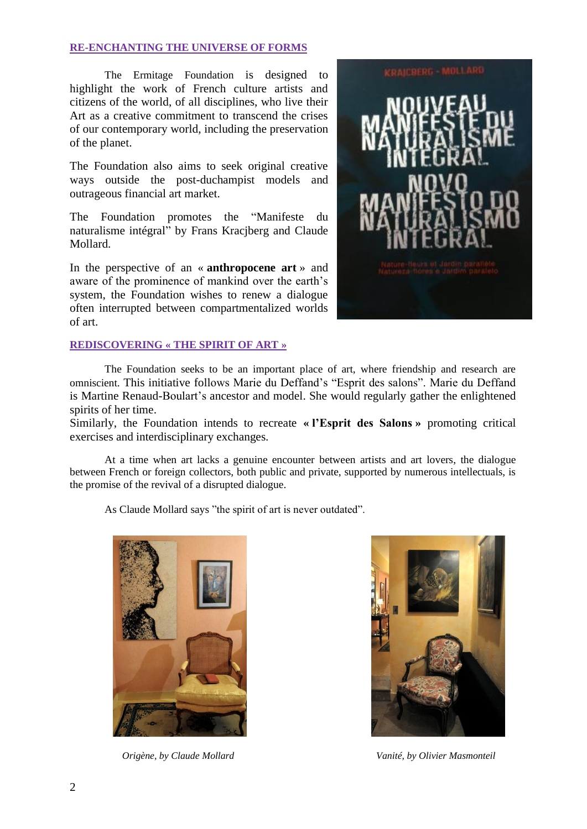## **RE-ENCHANTING THE UNIVERSE OF FORMS**

The Ermitage Foundation is designed to highlight the work of French culture artists and citizens of the world, of all disciplines, who live their Art as a creative commitment to transcend the crises of our contemporary world, including the preservation of the planet.

The Foundation also aims to seek original creative ways outside the post-duchampist models and outrageous financial art market.

The Foundation promotes the "Manifeste du naturalisme intégral" by Frans Kracjberg and Claude Mollard.

In the perspective of an « **anthropocene art** » and aware of the prominence of mankind over the earth's system, the Foundation wishes to renew a dialogue often interrupted between compartmentalized worlds of art.

## **REDISCOVERING « THE SPIRIT OF ART »**



The Foundation seeks to be an important place of art, where friendship and research are omniscient. This initiative follows Marie du Deffand's "Esprit des salons". Marie du Deffand is Martine Renaud-Boulart's ancestor and model. She would regularly gather the enlightened spirits of her time.

Similarly, the Foundation intends to recreate **« l'Esprit des Salons »** promoting critical exercises and interdisciplinary exchanges.

At a time when art lacks a genuine encounter between artists and art lovers, the dialogue between French or foreign collectors, both public and private, supported by numerous intellectuals, is the promise of the revival of a disrupted dialogue.

As Claude Mollard says "the spirit of art is never outdated".





 *Origène, by Claude Mollard Vanité, by Olivier Masmonteil*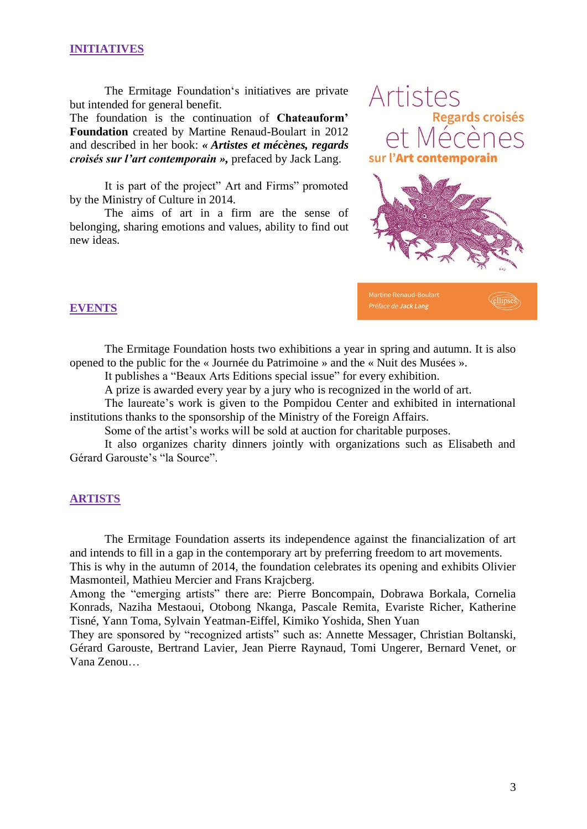# **INITIATIVES**

The Ermitage Foundation's initiatives are private but intended for general benefit.

The foundation is the continuation of **Chateauform' Foundation** created by Martine Renaud-Boulart in 2012 and described in her book: *« Artistes et mécènes, regards croisés sur l'art contemporain »,* prefaced by Jack Lang.

It is part of the project" Art and Firms" promoted by the Ministry of Culture in 2014.

The aims of art in a firm are the sense of belonging, sharing emotions and values, ability to find out new ideas.



**Clipses** 

**Martine Renaud-Boulart** Préface de Jack Lang

## **EVENTS**

The Ermitage Foundation hosts two exhibitions a year in spring and autumn. It is also opened to the public for the « Journée du Patrimoine » and the « Nuit des Musées ».

It publishes a "Beaux Arts Editions special issue" for every exhibition.

A prize is awarded every year by a jury who is recognized in the world of art.

The laureate's work is given to the Pompidou Center and exhibited in international institutions thanks to the sponsorship of the Ministry of the Foreign Affairs.

Some of the artist's works will be sold at auction for charitable purposes.

It also organizes charity dinners jointly with organizations such as Elisabeth and Gérard Garouste's "la Source".

#### **ARTISTS**

The Ermitage Foundation asserts its independence against the financialization of art and intends to fill in a gap in the contemporary art by preferring freedom to art movements.

This is why in the autumn of 2014, the foundation celebrates its opening and exhibits Olivier Masmonteil, Mathieu Mercier and Frans Krajcberg.

Among the "emerging artists" there are: Pierre Boncompain, Dobrawa Borkala, Cornelia Konrads, Naziha Mestaoui, Otobong Nkanga, Pascale Remita, Evariste Richer, Katherine Tisné, Yann Toma, Sylvain Yeatman-Eiffel, Kimiko Yoshida, Shen Yuan

They are sponsored by "recognized artists" such as: Annette Messager, Christian Boltanski, Gérard Garouste, Bertrand Lavier, Jean Pierre Raynaud, Tomi Ungerer, Bernard Venet, or Vana Zenou…